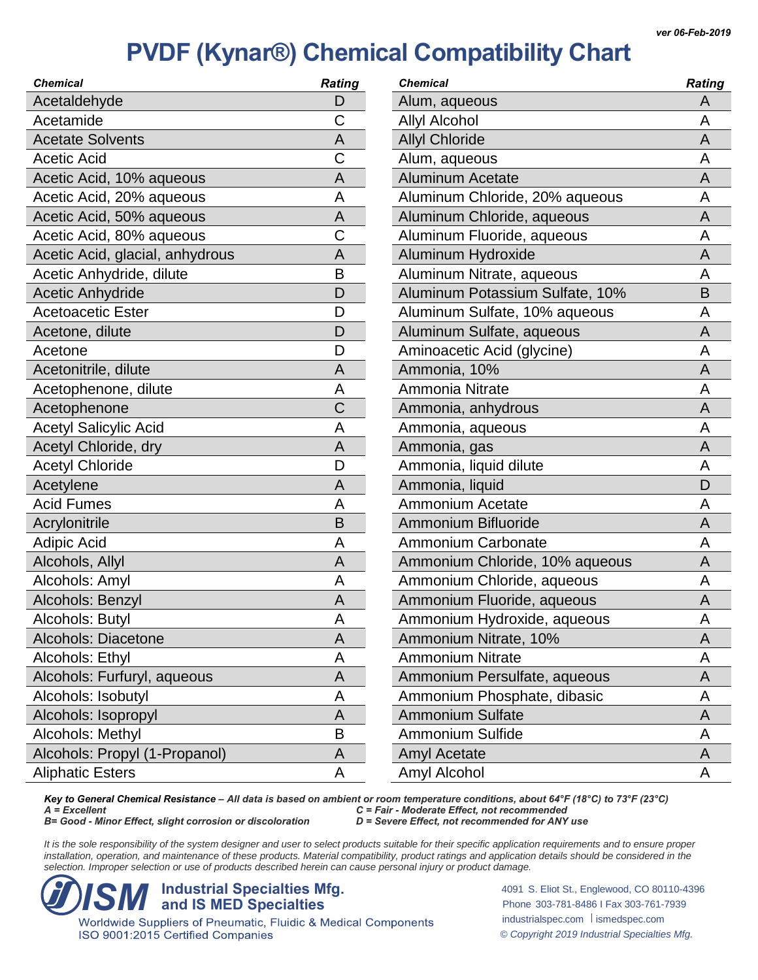| <b>Chemical</b>                 | <b>Rating</b> | Chemi   |
|---------------------------------|---------------|---------|
| Acetaldehyde                    | D             | Alum    |
| Acetamide                       | C             | Allyl / |
| <b>Acetate Solvents</b>         | A             | Allyl ( |
| <b>Acetic Acid</b>              | С             | Alum    |
| Acetic Acid, 10% aqueous        | A             | Alum    |
| Acetic Acid, 20% aqueous        | A             | Alum    |
| Acetic Acid, 50% aqueous        | Α             | Alum    |
| Acetic Acid, 80% aqueous        | C             | Alum    |
| Acetic Acid, glacial, anhydrous | A             | Alum    |
| Acetic Anhydride, dilute        | B             | Alum    |
| <b>Acetic Anhydride</b>         | D             | Alum    |
| <b>Acetoacetic Ester</b>        | D             | Alum    |
| Acetone, dilute                 | D             | Alum    |
| Acetone                         | D             | Amin    |
| Acetonitrile, dilute            | A             | Amm     |
| Acetophenone, dilute            | Α             | Amm     |
| Acetophenone                    | C             | Amm     |
| <b>Acetyl Salicylic Acid</b>    | A             | Amm     |
| Acetyl Chloride, dry            | A             | Amm     |
| <b>Acetyl Chloride</b>          | D             | Amm     |
| Acetylene                       | A             | Amm     |
| <b>Acid Fumes</b>               | A             | Amm     |
| Acrylonitrile                   | B             | Amm     |
| <b>Adipic Acid</b>              | А             | Amm     |
| Alcohols, Allyl                 | Α             | Amm     |
| Alcohols: Amyl                  | А             | Amm     |
| Alcohols: Benzyl                | A             | Amm     |
| Alcohols: Butyl                 | Α             | Amm     |
| Alcohols: Diacetone             | Α             | Amm     |
| Alcohols: Ethyl                 | Α             | Amm     |
| Alcohols: Furfuryl, aqueous     | Α             | Amm     |
| Alcohols: Isobutyl              | Α             | Amm     |
| Alcohols: Isopropyl             | Α             | Amm     |
| Alcohols: Methyl                | Β             | Amm     |
| Alcohols: Propyl (1-Propanol)   | Α             | Amyl    |
| <b>Aliphatic Esters</b>         | А             | Amyl    |

| <b>Chemical</b>                 | <b>Rating</b> |
|---------------------------------|---------------|
| Alum, aqueous                   | Α             |
| <b>Allyl Alcohol</b>            | А             |
| <b>Allyl Chloride</b>           | Α             |
| Alum, aqueous                   | A             |
| <b>Aluminum Acetate</b>         | А             |
| Aluminum Chloride, 20% aqueous  | Α             |
| Aluminum Chloride, aqueous      | Α             |
| Aluminum Fluoride, aqueous      | Α             |
| Aluminum Hydroxide              | Α             |
| Aluminum Nitrate, aqueous       | A             |
| Aluminum Potassium Sulfate, 10% | Β             |
| Aluminum Sulfate, 10% aqueous   | А             |
| Aluminum Sulfate, aqueous       | А             |
| Aminoacetic Acid (glycine)      | Α             |
| Ammonia, 10%                    | Α             |
| Ammonia Nitrate                 | Α             |
| Ammonia, anhydrous              | Α             |
| Ammonia, aqueous                | A             |
| Ammonia, gas                    | Α             |
| Ammonia, liquid dilute          | А             |
| Ammonia, liquid                 | D             |
| <b>Ammonium Acetate</b>         | A             |
| Ammonium Bifluoride             | Α             |
| Ammonium Carbonate              | A             |
| Ammonium Chloride, 10% aqueous  | А             |
| Ammonium Chloride, aqueous      | А             |
| Ammonium Fluoride, aqueous      | Α             |
| Ammonium Hydroxide, aqueous     | A             |
| Ammonium Nitrate, 10%           | Α             |
| <b>Ammonium Nitrate</b>         | Α             |
| Ammonium Persulfate, aqueous    | Α             |
| Ammonium Phosphate, dibasic     | Α             |
| <b>Ammonium Sulfate</b>         | Α             |
| <b>Ammonium Sulfide</b>         | Α             |
| Amyl Acetate                    | A             |
| Amyl Alcohol                    | Α             |

*Key to General Chemical Resistance – All data is based on ambient or room temperature conditions, about 64°F (18°C) to 73°F (23°C) A = Excellent C = Fair - Moderate Effect, not recommended B* = Good - *Minor Effect, slight corrosion or discoloration* 

It is the sole responsibility of the system designer and user to select products suitable for their specific application requirements and to ensure proper installation, operation, and maintenance of these products. Material compatibility, product ratings and application details should be considered in the *selection. Improper selection or use of products described herein can cause personal injury or product damage.*

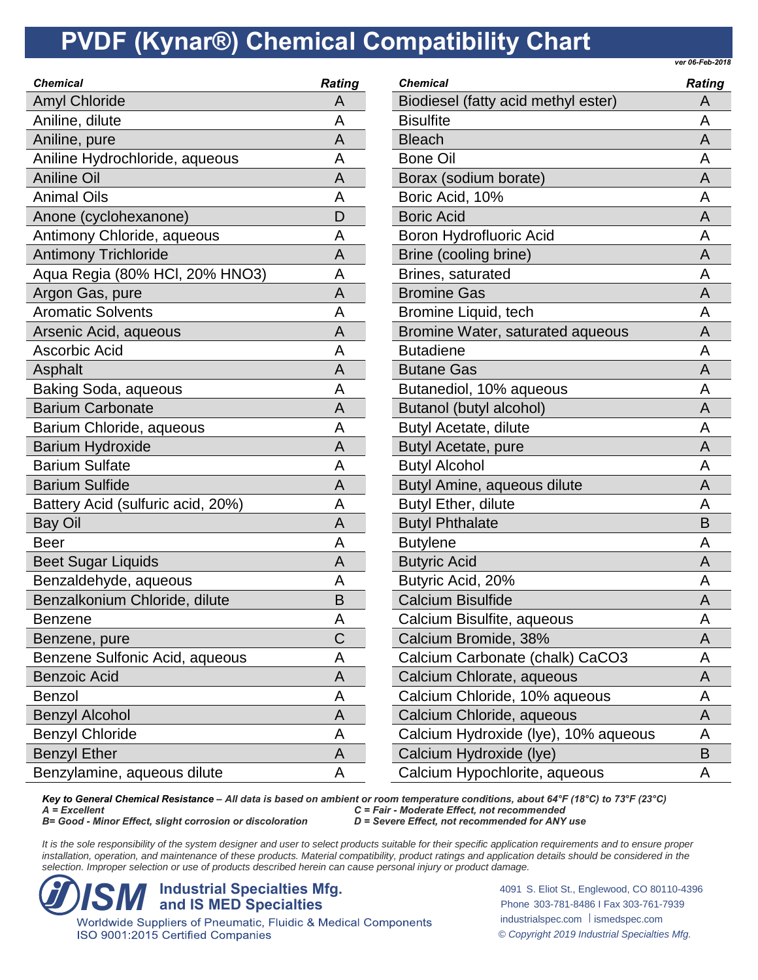*ver 06-Feb-2018*

| <b>Chemical</b>                   | <b>Rating</b> | <b>Chemical</b>  |
|-----------------------------------|---------------|------------------|
| <b>Amyl Chloride</b>              | Α             | <b>Biodies</b>   |
| Aniline, dilute                   | Α             | <b>Bisulfite</b> |
| Aniline, pure                     | A             | <b>Bleach</b>    |
| Aniline Hydrochloride, aqueous    | A             | Bone O           |
| <b>Aniline Oil</b>                | A             | Borax (s         |
| <b>Animal Oils</b>                | A             | <b>Boric Ad</b>  |
| Anone (cyclohexanone)             | D             | <b>Boric Ad</b>  |
| Antimony Chloride, aqueous        | A             | Boron H          |
| <b>Antimony Trichloride</b>       | A             | Brine (c         |
| Aqua Regia (80% HCI, 20% HNO3)    | A             | Brines,          |
| Argon Gas, pure                   | A             | <b>Bromine</b>   |
| <b>Aromatic Solvents</b>          | A             | <b>Bromine</b>   |
| Arsenic Acid, aqueous             | A             | <b>Bromine</b>   |
| Ascorbic Acid                     | Α             | <b>Butadie</b>   |
| Asphalt                           | A             | <b>Butane</b>    |
| Baking Soda, aqueous              | A             | <b>Butaned</b>   |
| <b>Barium Carbonate</b>           | A             | <b>Butanol</b>   |
| Barium Chloride, aqueous          | A             | <b>Butyl Ad</b>  |
| <b>Barium Hydroxide</b>           | A             | <b>Butyl Ad</b>  |
| <b>Barium Sulfate</b>             | Α             | <b>Butyl Al</b>  |
| <b>Barium Sulfide</b>             | A             | <b>Butyl Ar</b>  |
| Battery Acid (sulfuric acid, 20%) | A             | <b>Butyl Et</b>  |
| <b>Bay Oil</b>                    | A             | <b>Butyl Pr</b>  |
| <b>Beer</b>                       | Α             | <b>Butylen</b>   |
| <b>Beet Sugar Liquids</b>         | A             | Butyric          |
| Benzaldehyde, aqueous             | A             | Butyric          |
| Benzalkonium Chloride, dilute     | B             | Calcium          |
| <b>Benzene</b>                    | Α             | Calcium          |
| Benzene, pure                     | С             | Calcium          |
| Benzene Sulfonic Acid, aqueous    | Α             | Calcium          |
| <b>Benzoic Acid</b>               | Α             | Calcium          |
| <b>Benzol</b>                     | A             | Calcium          |
| <b>Benzyl Alcohol</b>             | A             | Calcium          |
| <b>Benzyl Chloride</b>            | A             | Calcium          |
| <b>Benzyl Ether</b>               | A             | Calcium          |
| Benzylamine, aqueous dilute       | Α             | Calcium          |
|                                   |               |                  |

| <b>Chemical</b>                      | <b>Rating</b> |
|--------------------------------------|---------------|
| Biodiesel (fatty acid methyl ester)  | Α             |
| <b>Bisulfite</b>                     | A             |
| <b>Bleach</b>                        | A             |
| <b>Bone Oil</b>                      | А             |
| Borax (sodium borate)                | A             |
| Boric Acid, 10%                      | Α             |
| <b>Boric Acid</b>                    | A             |
| <b>Boron Hydrofluoric Acid</b>       | А             |
| Brine (cooling brine)                | A             |
| Brines, saturated                    | А             |
| <b>Bromine Gas</b>                   | A             |
| Bromine Liquid, tech                 | A             |
| Bromine Water, saturated aqueous     | A             |
| <b>Butadiene</b>                     | A             |
| <b>Butane Gas</b>                    | A             |
| Butanediol, 10% aqueous              | A             |
| Butanol (butyl alcohol)              | A             |
| <b>Butyl Acetate, dilute</b>         | Α             |
| Butyl Acetate, pure                  | A             |
| <b>Butyl Alcohol</b>                 | A             |
| Butyl Amine, aqueous dilute          | A             |
| <b>Butyl Ether, dilute</b>           | A             |
| <b>Butyl Phthalate</b>               | B             |
| <b>Butylene</b>                      | A             |
| <b>Butyric Acid</b>                  | A             |
| Butyric Acid, 20%                    | Α             |
| <b>Calcium Bisulfide</b>             | A             |
| Calcium Bisulfite, aqueous           | A             |
| Calcium Bromide, 38%                 | Α             |
| Calcium Carbonate (chalk) CaCO3      | Α             |
| Calcium Chlorate, aqueous            | A             |
| Calcium Chloride, 10% aqueous        | Α             |
| Calcium Chloride, aqueous            | A             |
| Calcium Hydroxide (Iye), 10% aqueous | Α             |
| Calcium Hydroxide (Iye)              | B             |
| Calcium Hypochlorite, aqueous        | A             |

*Key to General Chemical Resistance – All data is based on ambient or room temperature conditions, about 64°F (18°C) to 73°F (23°C) A = Excellent C = Fair - Moderate Effect, not recommended B*= Good - *Minor Effect, slight corrosion or discoloration* 

It is the sole responsibility of the system designer and user to select products suitable for their specific application requirements and to ensure proper installation, operation, and maintenance of these products. Material compatibility, product ratings and application details should be considered in the *selection. Improper selection or use of products described herein can cause personal injury or product damage.*



ISO 9001:2015 Certified Companies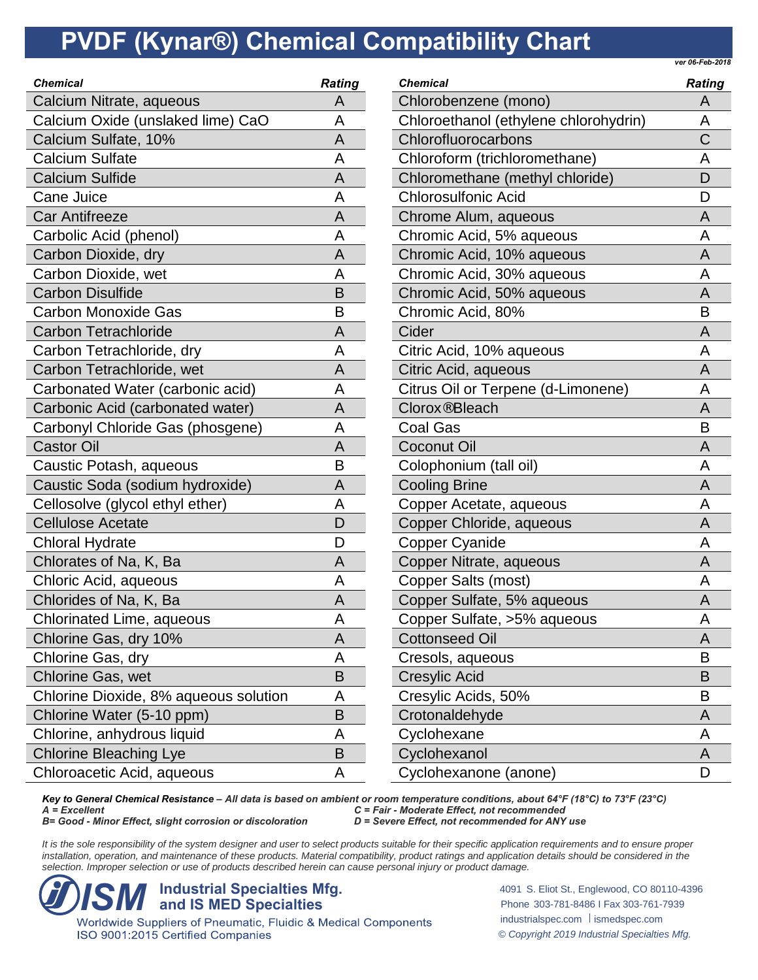*ver 06-Feb-2018*

| <b>Chemical</b>                       | <b>Rating</b> |
|---------------------------------------|---------------|
| Calcium Nitrate, aqueous              | А             |
| Calcium Oxide (unslaked lime) CaO     | А             |
| Calcium Sulfate, 10%                  | Α             |
| <b>Calcium Sulfate</b>                | А             |
| <b>Calcium Sulfide</b>                | А             |
| <b>Cane Juice</b>                     | A             |
| <b>Car Antifreeze</b>                 | А             |
| Carbolic Acid (phenol)                | А             |
| Carbon Dioxide, dry                   | A             |
| Carbon Dioxide, wet                   | А             |
| <b>Carbon Disulfide</b>               | B             |
| <b>Carbon Monoxide Gas</b>            | B             |
| <b>Carbon Tetrachloride</b>           | A             |
| Carbon Tetrachloride, dry             | А             |
| Carbon Tetrachloride, wet             | Α             |
| Carbonated Water (carbonic acid)      | А             |
| Carbonic Acid (carbonated water)      | Α             |
| Carbonyl Chloride Gas (phosgene)      | А             |
| <b>Castor Oil</b>                     | Α             |
| Caustic Potash, aqueous               | B             |
| Caustic Soda (sodium hydroxide)       | A             |
| Cellosolve (glycol ethyl ether)       | Α             |
| <b>Cellulose Acetate</b>              | D             |
| <b>Chloral Hydrate</b>                | D             |
| Chlorates of Na, K, Ba                | A             |
| Chloric Acid, aqueous                 | Α             |
| Chlorides of Na, K, Ba                | A             |
| Chlorinated Lime, aqueous             | Α             |
| Chlorine Gas, dry 10%                 | Α             |
| Chlorine Gas, dry                     | Α             |
| <b>Chlorine Gas, wet</b>              | Β             |
| Chlorine Dioxide, 8% aqueous solution | Α             |
| Chlorine Water (5-10 ppm)             | B             |
| Chlorine, anhydrous liquid            | Α             |
| <b>Chlorine Bleaching Lye</b>         | B             |
| Chloroacetic Acid, aqueous            | А             |

| <b>Chemical</b>                       | <b>Rating</b> |
|---------------------------------------|---------------|
| Chlorobenzene (mono)                  | A             |
| Chloroethanol (ethylene chlorohydrin) | А             |
| Chlorofluorocarbons                   | Ć             |
| Chloroform (trichloromethane)         | Α             |
| Chloromethane (methyl chloride)       | D             |
| <b>Chlorosulfonic Acid</b>            | D             |
| Chrome Alum, aqueous                  | A             |
| Chromic Acid, 5% aqueous              | A             |
| Chromic Acid, 10% aqueous             | A             |
| Chromic Acid, 30% aqueous             | Α             |
| Chromic Acid, 50% aqueous             | А             |
| Chromic Acid, 80%                     | B             |
| Cider                                 | A             |
| Citric Acid, 10% aqueous              | A             |
| Citric Acid, aqueous                  | А             |
| Citrus Oil or Terpene (d-Limonene)    | Α             |
| Clorox <sup>®</sup> Bleach            | Α             |
| <b>Coal Gas</b>                       | Β             |
| Coconut Oil                           | A             |
| Colophonium (tall oil)                | А             |
| <b>Cooling Brine</b>                  | А             |
| Copper Acetate, aqueous               | A             |
| Copper Chloride, aqueous              | A             |
| <b>Copper Cyanide</b>                 | A             |
| Copper Nitrate, aqueous               | Α             |
| Copper Salts (most)                   | Α             |
| Copper Sulfate, 5% aqueous            | Α             |
| Copper Sulfate, >5% aqueous           | Α             |
| <b>Cottonseed Oil</b>                 | Α             |
| Cresols, aqueous                      | B             |
| Cresylic Acid                         | В             |
| Cresylic Acids, 50%                   | в             |
| Crotonaldehyde                        | Α             |
| Cyclohexane                           | Α             |
| Cyclohexanol                          | A             |
| Cyclohexanone (anone)                 | D             |

*Key to General Chemical Resistance – All data is based on ambient or room temperature conditions, about 64°F (18°C) to 73°F (23°C) A = Excellent C = Fair - Moderate Effect, not recommended B* = Good - *Minor Effect, slight corrosion or discoloration* 

It is the sole responsibility of the system designer and user to select products suitable for their specific application requirements and to ensure proper installation, operation, and maintenance of these products. Material compatibility, product ratings and application details should be considered in the *selection. Improper selection or use of products described herein can cause personal injury or product damage.*



ISO 9001:2015 Certified Companies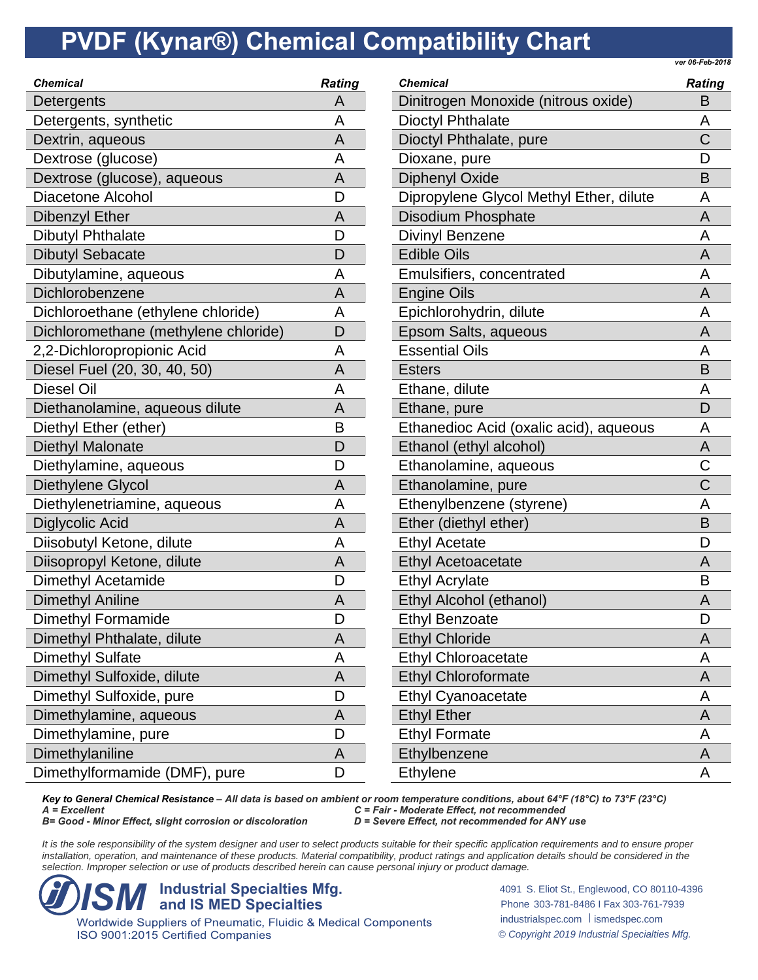*ver 06-Feb-2018*

| <b>Chemical</b>                      | <b>Rating</b> |
|--------------------------------------|---------------|
| Detergents                           | Α             |
| Detergents, synthetic                | A             |
| Dextrin, aqueous                     | A             |
| Dextrose (glucose)                   | A             |
| Dextrose (glucose), aqueous          | Α             |
| Diacetone Alcohol                    | D             |
| Dibenzyl Ether                       | Α             |
| <b>Dibutyl Phthalate</b>             | D             |
| <b>Dibutyl Sebacate</b>              | D             |
| Dibutylamine, aqueous                | A             |
| Dichlorobenzene                      | Α             |
| Dichloroethane (ethylene chloride)   | Α             |
| Dichloromethane (methylene chloride) | D             |
| 2,2-Dichloropropionic Acid           | Α             |
| Diesel Fuel (20, 30, 40, 50)         | A             |
| <b>Diesel Oil</b>                    | Α             |
| Diethanolamine, aqueous dilute       | Α             |
| Diethyl Ether (ether)                | B             |
| Diethyl Malonate                     | D             |
| Diethylamine, aqueous                | D             |
| Diethylene Glycol                    | Α             |
| Diethylenetriamine, aqueous          | A             |
| Diglycolic Acid                      | A             |
| Diisobutyl Ketone, dilute            | Α             |
| Diisopropyl Ketone, dilute           | A             |
| Dimethyl Acetamide                   | D             |
| <b>Dimethyl Aniline</b>              | A             |
| Dimethyl Formamide                   | D             |
| Dimethyl Phthalate, dilute           | A             |
| Dimethyl Sulfate                     | А             |
| Dimethyl Sulfoxide, dilute           | A             |
| Dimethyl Sulfoxide, pure             | D             |
| Dimethylamine, aqueous               | A             |
| Dimethylamine, pure                  | D             |
| Dimethylaniline                      | A             |
| Dimethylformamide (DMF), pure        | D             |
|                                      |               |

| <b>Chemical</b>                         | <b>Rating</b>         |
|-----------------------------------------|-----------------------|
| Dinitrogen Monoxide (nitrous oxide)     | Β                     |
| <b>Dioctyl Phthalate</b>                | А                     |
| Dioctyl Phthalate, pure                 | Ć                     |
| Dioxane, pure                           | D                     |
| <b>Diphenyl Oxide</b>                   | B                     |
| Dipropylene Glycol Methyl Ether, dilute | Α                     |
| <b>Disodium Phosphate</b>               | A                     |
| <b>Divinyl Benzene</b>                  | Α                     |
| <b>Edible Oils</b>                      | A                     |
| Emulsifiers, concentrated               | A                     |
| <b>Engine Oils</b>                      | Α                     |
| Epichlorohydrin, dilute                 | A                     |
| Epsom Salts, aqueous                    | A                     |
| <b>Essential Oils</b>                   | Α                     |
| <b>Esters</b>                           | B                     |
| Ethane, dilute                          | A                     |
| Ethane, pure                            | D                     |
| Ethanedioc Acid (oxalic acid), aqueous  | Α                     |
| Ethanol (ethyl alcohol)                 | A                     |
| Ethanolamine, aqueous                   | Ć                     |
| Ethanolamine, pure                      | $\overline{\text{C}}$ |
| Ethenylbenzene (styrene)                | А                     |
| Ether (diethyl ether)                   | B                     |
| <b>Ethyl Acetate</b>                    | D                     |
| <b>Ethyl Acetoacetate</b>               | A                     |
| <b>Ethyl Acrylate</b>                   | В                     |
| Ethyl Alcohol (ethanol)                 | Α                     |
| <b>Ethyl Benzoate</b>                   | D                     |
| <b>Ethyl Chloride</b>                   | A                     |
| <b>Ethyl Chloroacetate</b>              | Α                     |
| <b>Ethyl Chloroformate</b>              | A                     |
| <b>Ethyl Cyanoacetate</b>               | Α                     |
| <b>Ethyl Ether</b>                      | Α                     |
| <b>Ethyl Formate</b>                    | А                     |
| Ethylbenzene                            | A                     |
| Ethylene                                | А                     |

*Key to General Chemical Resistance – All data is based on ambient or room temperature conditions, about 64°F (18°C) to 73°F (23°C) A = Excellent C = Fair - Moderate Effect, not recommended B*= Good - *Minor Effect, slight corrosion or discoloration* 

It is the sole responsibility of the system designer and user to select products suitable for their specific application requirements and to ensure proper installation, operation, and maintenance of these products. Material compatibility, product ratings and application details should be considered in the *selection. Improper selection or use of products described herein can cause personal injury or product damage.*



ISO 9001:2015 Certified Companies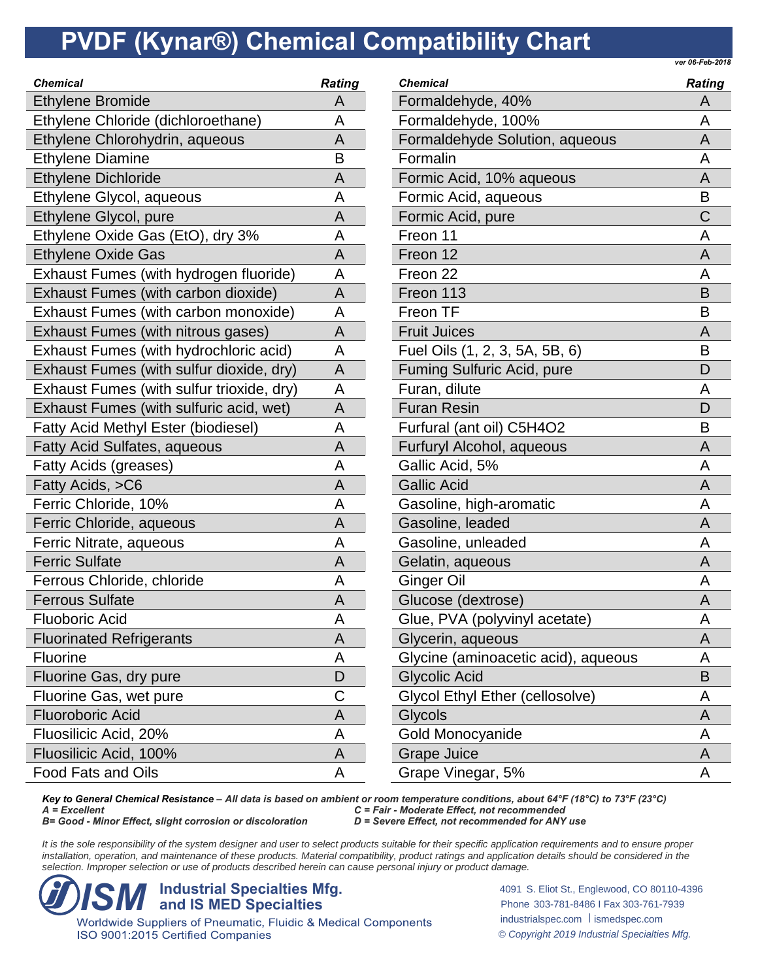*ver 06-Feb-2018*

| <b>Ethylene Bromide</b><br>A<br>Ethylene Chloride (dichloroethane)<br>A<br>Ethylene Chlorohydrin, aqueous<br>A<br><b>Ethylene Diamine</b><br>B<br><b>Ethylene Dichloride</b><br>A<br>Ethylene Glycol, aqueous<br>A<br>Ethylene Glycol, pure<br>A<br>Ethylene Oxide Gas (EtO), dry 3%<br>A<br><b>Ethylene Oxide Gas</b><br>A<br>Exhaust Fumes (with hydrogen fluoride)<br>A<br>Exhaust Fumes (with carbon dioxide)<br>A<br>Exhaust Fumes (with carbon monoxide)<br>A<br>Exhaust Fumes (with nitrous gases)<br>A<br>Exhaust Fumes (with hydrochloric acid)<br>Α<br>Exhaust Fumes (with sulfur dioxide, dry)<br>A<br>Exhaust Fumes (with sulfur trioxide, dry)<br>A<br>Exhaust Fumes (with sulfuric acid, wet)<br>A<br><b>Fatty Acid Methyl Ester (biodiesel)</b><br>A<br><b>Fatty Acid Sulfates, aqueous</b><br>A<br>Fatty Acids (greases)<br>A<br>Fatty Acids, >C6<br>A<br>Ferric Chloride, 10%<br>A<br>Ferric Chloride, aqueous<br>A<br>Ferric Nitrate, aqueous<br>A<br>$\frac{1}{1}$<br><b>Ferric Sulfate</b><br>A<br>Ferrous Chloride, chloride<br>A<br><b>Ferrous Sulfate</b><br>A<br><b>Fluoboric Acid</b><br>A<br><b>Fluorinated Refrigerants</b><br>Α<br><b>Fluorine</b><br>Α<br>Fluorine Gas, dry pure<br>D<br>C<br>Fluorine Gas, wet pure<br><b>Fluoroboric Acid</b><br>Α<br>Fluosilicic Acid, 20%<br>Α<br>Fluosilicic Acid, 100%<br>Α<br>Food Fats and Oils<br>А | <b>Chemical</b> | <b>Rating</b> | $\mathbf C$                 |
|---------------------------------------------------------------------------------------------------------------------------------------------------------------------------------------------------------------------------------------------------------------------------------------------------------------------------------------------------------------------------------------------------------------------------------------------------------------------------------------------------------------------------------------------------------------------------------------------------------------------------------------------------------------------------------------------------------------------------------------------------------------------------------------------------------------------------------------------------------------------------------------------------------------------------------------------------------------------------------------------------------------------------------------------------------------------------------------------------------------------------------------------------------------------------------------------------------------------------------------------------------------------------------------------------------------------------------------------------------------------------|-----------------|---------------|-----------------------------|
|                                                                                                                                                                                                                                                                                                                                                                                                                                                                                                                                                                                                                                                                                                                                                                                                                                                                                                                                                                                                                                                                                                                                                                                                                                                                                                                                                                           |                 |               | F                           |
|                                                                                                                                                                                                                                                                                                                                                                                                                                                                                                                                                                                                                                                                                                                                                                                                                                                                                                                                                                                                                                                                                                                                                                                                                                                                                                                                                                           |                 |               | F                           |
|                                                                                                                                                                                                                                                                                                                                                                                                                                                                                                                                                                                                                                                                                                                                                                                                                                                                                                                                                                                                                                                                                                                                                                                                                                                                                                                                                                           |                 |               | $\overline{r}$              |
|                                                                                                                                                                                                                                                                                                                                                                                                                                                                                                                                                                                                                                                                                                                                                                                                                                                                                                                                                                                                                                                                                                                                                                                                                                                                                                                                                                           |                 |               | F                           |
|                                                                                                                                                                                                                                                                                                                                                                                                                                                                                                                                                                                                                                                                                                                                                                                                                                                                                                                                                                                                                                                                                                                                                                                                                                                                                                                                                                           |                 |               | F                           |
|                                                                                                                                                                                                                                                                                                                                                                                                                                                                                                                                                                                                                                                                                                                                                                                                                                                                                                                                                                                                                                                                                                                                                                                                                                                                                                                                                                           |                 |               | F                           |
|                                                                                                                                                                                                                                                                                                                                                                                                                                                                                                                                                                                                                                                                                                                                                                                                                                                                                                                                                                                                                                                                                                                                                                                                                                                                                                                                                                           |                 |               | $\overline{F}$              |
|                                                                                                                                                                                                                                                                                                                                                                                                                                                                                                                                                                                                                                                                                                                                                                                                                                                                                                                                                                                                                                                                                                                                                                                                                                                                                                                                                                           |                 |               | F                           |
|                                                                                                                                                                                                                                                                                                                                                                                                                                                                                                                                                                                                                                                                                                                                                                                                                                                                                                                                                                                                                                                                                                                                                                                                                                                                                                                                                                           |                 |               | $\overline{r}$              |
|                                                                                                                                                                                                                                                                                                                                                                                                                                                                                                                                                                                                                                                                                                                                                                                                                                                                                                                                                                                                                                                                                                                                                                                                                                                                                                                                                                           |                 |               | F                           |
|                                                                                                                                                                                                                                                                                                                                                                                                                                                                                                                                                                                                                                                                                                                                                                                                                                                                                                                                                                                                                                                                                                                                                                                                                                                                                                                                                                           |                 |               | $\overline{F}$              |
|                                                                                                                                                                                                                                                                                                                                                                                                                                                                                                                                                                                                                                                                                                                                                                                                                                                                                                                                                                                                                                                                                                                                                                                                                                                                                                                                                                           |                 |               | F                           |
|                                                                                                                                                                                                                                                                                                                                                                                                                                                                                                                                                                                                                                                                                                                                                                                                                                                                                                                                                                                                                                                                                                                                                                                                                                                                                                                                                                           |                 |               | F                           |
|                                                                                                                                                                                                                                                                                                                                                                                                                                                                                                                                                                                                                                                                                                                                                                                                                                                                                                                                                                                                                                                                                                                                                                                                                                                                                                                                                                           |                 |               | F                           |
|                                                                                                                                                                                                                                                                                                                                                                                                                                                                                                                                                                                                                                                                                                                                                                                                                                                                                                                                                                                                                                                                                                                                                                                                                                                                                                                                                                           |                 |               | $\overline{r}$              |
|                                                                                                                                                                                                                                                                                                                                                                                                                                                                                                                                                                                                                                                                                                                                                                                                                                                                                                                                                                                                                                                                                                                                                                                                                                                                                                                                                                           |                 |               | F                           |
|                                                                                                                                                                                                                                                                                                                                                                                                                                                                                                                                                                                                                                                                                                                                                                                                                                                                                                                                                                                                                                                                                                                                                                                                                                                                                                                                                                           |                 |               | F                           |
|                                                                                                                                                                                                                                                                                                                                                                                                                                                                                                                                                                                                                                                                                                                                                                                                                                                                                                                                                                                                                                                                                                                                                                                                                                                                                                                                                                           |                 |               | F                           |
|                                                                                                                                                                                                                                                                                                                                                                                                                                                                                                                                                                                                                                                                                                                                                                                                                                                                                                                                                                                                                                                                                                                                                                                                                                                                                                                                                                           |                 |               | $\overline{r}$              |
|                                                                                                                                                                                                                                                                                                                                                                                                                                                                                                                                                                                                                                                                                                                                                                                                                                                                                                                                                                                                                                                                                                                                                                                                                                                                                                                                                                           |                 |               | $\mathbf \zeta$             |
|                                                                                                                                                                                                                                                                                                                                                                                                                                                                                                                                                                                                                                                                                                                                                                                                                                                                                                                                                                                                                                                                                                                                                                                                                                                                                                                                                                           |                 |               | $\overline{\mathcal{L}}$    |
|                                                                                                                                                                                                                                                                                                                                                                                                                                                                                                                                                                                                                                                                                                                                                                                                                                                                                                                                                                                                                                                                                                                                                                                                                                                                                                                                                                           |                 |               | $\overline{\mathbf{C}}$     |
|                                                                                                                                                                                                                                                                                                                                                                                                                                                                                                                                                                                                                                                                                                                                                                                                                                                                                                                                                                                                                                                                                                                                                                                                                                                                                                                                                                           |                 |               | $\overline{\mathbf{C}}$     |
|                                                                                                                                                                                                                                                                                                                                                                                                                                                                                                                                                                                                                                                                                                                                                                                                                                                                                                                                                                                                                                                                                                                                                                                                                                                                                                                                                                           |                 |               | $\overline{\mathbf{C}}$     |
|                                                                                                                                                                                                                                                                                                                                                                                                                                                                                                                                                                                                                                                                                                                                                                                                                                                                                                                                                                                                                                                                                                                                                                                                                                                                                                                                                                           |                 |               |                             |
|                                                                                                                                                                                                                                                                                                                                                                                                                                                                                                                                                                                                                                                                                                                                                                                                                                                                                                                                                                                                                                                                                                                                                                                                                                                                                                                                                                           |                 |               |                             |
|                                                                                                                                                                                                                                                                                                                                                                                                                                                                                                                                                                                                                                                                                                                                                                                                                                                                                                                                                                                                                                                                                                                                                                                                                                                                                                                                                                           |                 |               | $\overline{\mathbf{C}}$     |
|                                                                                                                                                                                                                                                                                                                                                                                                                                                                                                                                                                                                                                                                                                                                                                                                                                                                                                                                                                                                                                                                                                                                                                                                                                                                                                                                                                           |                 |               | $\overline{\mathcal{C}}$    |
|                                                                                                                                                                                                                                                                                                                                                                                                                                                                                                                                                                                                                                                                                                                                                                                                                                                                                                                                                                                                                                                                                                                                                                                                                                                                                                                                                                           |                 |               | $\overline{\mathcal{L}}$    |
|                                                                                                                                                                                                                                                                                                                                                                                                                                                                                                                                                                                                                                                                                                                                                                                                                                                                                                                                                                                                                                                                                                                                                                                                                                                                                                                                                                           |                 |               | (                           |
|                                                                                                                                                                                                                                                                                                                                                                                                                                                                                                                                                                                                                                                                                                                                                                                                                                                                                                                                                                                                                                                                                                                                                                                                                                                                                                                                                                           |                 |               | $\overline{\mathcal{L}}$    |
|                                                                                                                                                                                                                                                                                                                                                                                                                                                                                                                                                                                                                                                                                                                                                                                                                                                                                                                                                                                                                                                                                                                                                                                                                                                                                                                                                                           |                 |               | $\mathcal{L}_{\mathcal{L}}$ |
|                                                                                                                                                                                                                                                                                                                                                                                                                                                                                                                                                                                                                                                                                                                                                                                                                                                                                                                                                                                                                                                                                                                                                                                                                                                                                                                                                                           |                 |               | $\overline{\mathcal{L}}$    |
|                                                                                                                                                                                                                                                                                                                                                                                                                                                                                                                                                                                                                                                                                                                                                                                                                                                                                                                                                                                                                                                                                                                                                                                                                                                                                                                                                                           |                 |               | (                           |
|                                                                                                                                                                                                                                                                                                                                                                                                                                                                                                                                                                                                                                                                                                                                                                                                                                                                                                                                                                                                                                                                                                                                                                                                                                                                                                                                                                           |                 |               | $\overline{\mathbf{C}}$     |
|                                                                                                                                                                                                                                                                                                                                                                                                                                                                                                                                                                                                                                                                                                                                                                                                                                                                                                                                                                                                                                                                                                                                                                                                                                                                                                                                                                           |                 |               |                             |

| <b>Chemical</b>                        | <b>Rating</b> |
|----------------------------------------|---------------|
| Formaldehyde, 40%                      | A             |
| Formaldehyde, 100%                     | А             |
| Formaldehyde Solution, aqueous         | Α             |
| Formalin                               | А             |
| Formic Acid, 10% aqueous               | A             |
| Formic Acid, aqueous                   | B             |
| Formic Acid, pure                      | C             |
| Freon 11                               | Α             |
| Freon 12                               | A             |
| Freon 22                               | A             |
| Freon 113                              | B             |
| Freon TF                               | B             |
| <b>Fruit Juices</b>                    | А             |
| Fuel Oils (1, 2, 3, 5A, 5B, 6)         | B             |
| <b>Fuming Sulfuric Acid, pure</b>      | D             |
| Furan, dilute                          | А             |
| <b>Furan Resin</b>                     | D             |
| Furfural (ant oil) C5H4O2              | B             |
| Furfuryl Alcohol, aqueous              | A             |
| Gallic Acid, 5%                        | A             |
| <b>Gallic Acid</b>                     | Α             |
| Gasoline, high-aromatic                | Α             |
| Gasoline, leaded                       | Α             |
| Gasoline, unleaded                     | А             |
| Gelatin, aqueous                       | А             |
| <b>Ginger Oil</b>                      | Α             |
| Glucose (dextrose)                     | Α             |
| Glue, PVA (polyvinyl acetate)          | А             |
| Glycerin, aqueous                      | Α             |
| Glycine (aminoacetic acid), aqueous    | А             |
| <b>Glycolic Acid</b>                   | B             |
| <b>Glycol Ethyl Ether (cellosolve)</b> | A             |
| Glycols                                | Α             |
| Gold Monocyanide                       | Α             |
| <b>Grape Juice</b>                     | Α             |
| Grape Vinegar, 5%                      | А             |

*Key to General Chemical Resistance – All data is based on ambient or room temperature conditions, about 64°F (18°C) to 73°F (23°C) A = Excellent C = Fair - Moderate Effect, not recommended B*= Good - *Minor Effect, slight corrosion or discoloration* 

It is the sole responsibility of the system designer and user to select products suitable for their specific application requirements and to ensure proper installation, operation, and maintenance of these products. Material compatibility, product ratings and application details should be considered in the *selection. Improper selection or use of products described herein can cause personal injury or product damage.*



ISO 9001:2015 Certified Companies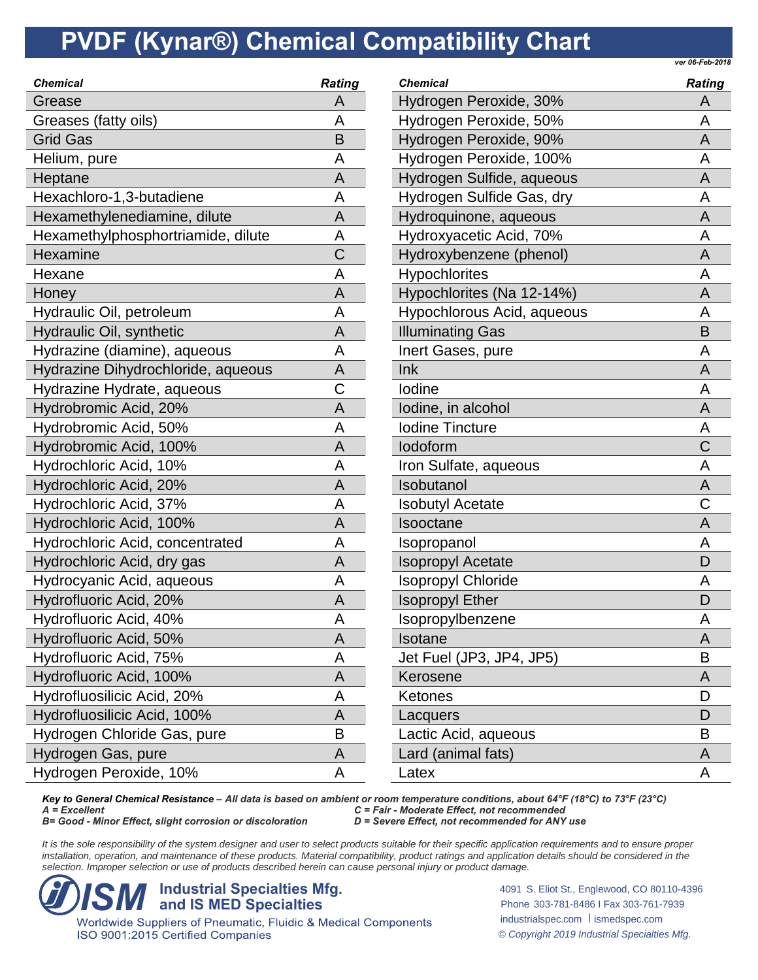*ver 06-Feb-2018*

| <b>Chemical</b>                    | <b>Rating</b> |
|------------------------------------|---------------|
| Grease                             | А             |
| Greases (fatty oils)               | Α             |
| <b>Grid Gas</b>                    | B             |
| Helium, pure                       | А             |
| Heptane                            | A             |
| Hexachloro-1,3-butadiene           | A             |
| Hexamethylenediamine, dilute       | Α             |
| Hexamethylphosphortriamide, dilute | А             |
| Hexamine                           | С             |
| Hexane                             | А             |
| Honey                              | А             |
| Hydraulic Oil, petroleum           | A             |
| Hydraulic Oil, synthetic           | Α             |
| Hydrazine (diamine), aqueous       | A             |
| Hydrazine Dihydrochloride, aqueous | Α             |
| Hydrazine Hydrate, aqueous         | Ć             |
| Hydrobromic Acid, 20%              | A             |
| Hydrobromic Acid, 50%              | Α             |
| Hydrobromic Acid, 100%             | Α             |
| Hydrochloric Acid, 10%             | A             |
| Hydrochloric Acid, 20%             | A             |
| Hydrochloric Acid, 37%             | А             |
| Hydrochloric Acid, 100%            | A             |
| Hydrochloric Acid, concentrated    | A             |
| Hydrochloric Acid, dry gas         | Α             |
| Hydrocyanic Acid, aqueous          | A             |
| Hydrofluoric Acid, 20%             | Α             |
| Hydrofluoric Acid, 40%             | А             |
| Hydrofluoric Acid, 50%             | Α             |
| Hydrofluoric Acid, 75%             | Α             |
| Hydrofluoric Acid, 100%            | Α             |
| Hydrofluosilicic Acid, 20%         | А             |
| Hydrofluosilicic Acid, 100%        | A             |
| Hydrogen Chloride Gas, pure        | B             |
| Hydrogen Gas, pure                 | A             |
| Hydrogen Peroxide, 10%             | Α             |
|                                    |               |

| <b>Chemical</b>            | <b>Rating</b> |
|----------------------------|---------------|
| Hydrogen Peroxide, 30%     | А             |
| Hydrogen Peroxide, 50%     | Α             |
| Hydrogen Peroxide, 90%     | Α             |
| Hydrogen Peroxide, 100%    | Α             |
| Hydrogen Sulfide, aqueous  | A             |
| Hydrogen Sulfide Gas, dry  | A             |
| Hydroquinone, aqueous      | A             |
| Hydroxyacetic Acid, 70%    | Α             |
| Hydroxybenzene (phenol)    | A             |
| Hypochlorites              | A             |
| Hypochlorites (Na 12-14%)  | A             |
| Hypochlorous Acid, aqueous | А             |
| <b>Illuminating Gas</b>    | B             |
| Inert Gases, pure          | А             |
| Ink                        | А             |
| lodine                     | А             |
| lodine, in alcohol         | А             |
| <b>Iodine Tincture</b>     | А             |
| lodoform                   | С             |
| Iron Sulfate, aqueous      | Α             |
| Isobutanol                 | Α             |
| <b>Isobutyl Acetate</b>    | С             |
| Isooctane                  | A             |
| Isopropanol                | А             |
| <b>Isopropyl Acetate</b>   | D             |
| <b>Isopropyl Chloride</b>  | Α             |
| <b>Isopropyl Ether</b>     | D             |
| Isopropylbenzene           | А             |
| Isotane                    | Α             |
| Jet Fuel (JP3, JP4, JP5)   | в             |
| Kerosene                   | Α             |
| Ketones                    | D             |
| Lacquers                   | D             |
| Lactic Acid, aqueous       | B             |
| Lard (animal fats)         | Α             |
| Latex                      | Α             |

*Key to General Chemical Resistance – All data is based on ambient or room temperature conditions, about 64°F (18°C) to 73°F (23°C) A = Excellent C = Fair - Moderate Effect, not recommended B*= Good - *Minor Effect, slight corrosion or discoloration* 

It is the sole responsibility of the system designer and user to select products suitable for their specific application requirements and to ensure proper installation, operation, and maintenance of these products. Material compatibility, product ratings and application details should be considered in the *selection. Improper selection or use of products described herein can cause personal injury or product damage.*



ISO 9001:2015 Certified Companies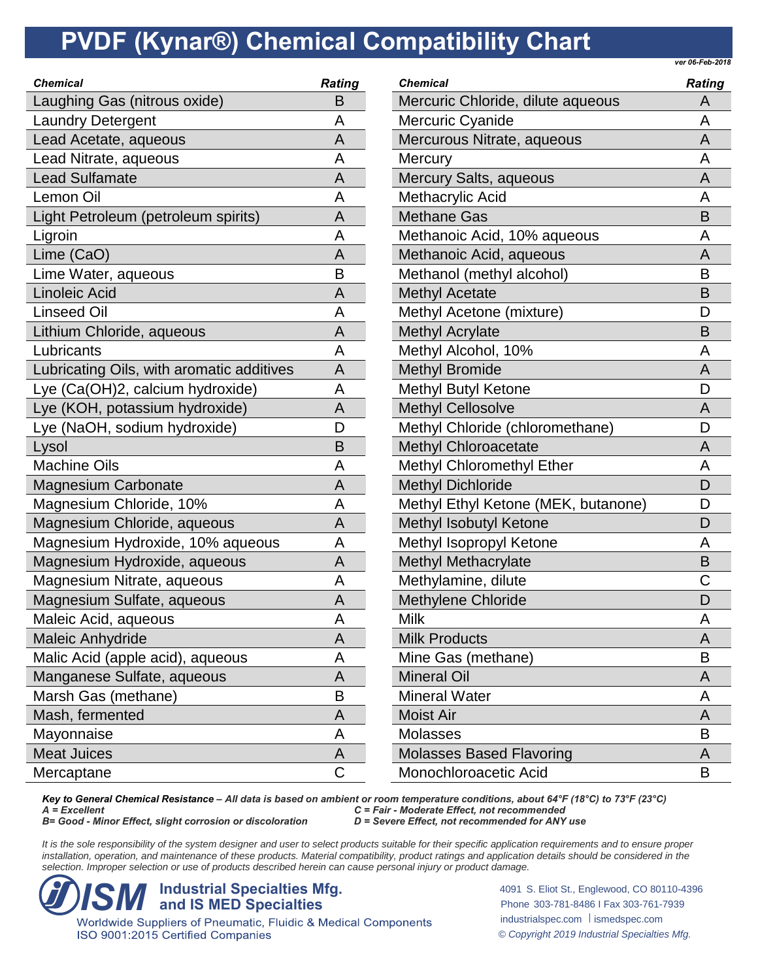*ver 06-Feb-2018*

| <b>Chemical</b>                           | <b>Rating</b> |
|-------------------------------------------|---------------|
| Laughing Gas (nitrous oxide)              | B             |
| <b>Laundry Detergent</b>                  | A             |
| Lead Acetate, aqueous                     | A             |
| Lead Nitrate, aqueous                     | Α             |
| <b>Lead Sulfamate</b>                     | Α             |
| Lemon Oil                                 | A             |
| Light Petroleum (petroleum spirits)       | A             |
| Ligroin                                   | A             |
| Lime (CaO)                                | A             |
| Lime Water, aqueous                       | В             |
| <b>Linoleic Acid</b>                      | A             |
| Linseed Oil                               | A             |
| Lithium Chloride, aqueous                 | A             |
| Lubricants                                | Α             |
| Lubricating Oils, with aromatic additives | A             |
| Lye (Ca(OH)2, calcium hydroxide)          | Α             |
| Lye (KOH, potassium hydroxide)            | A             |
| Lye (NaOH, sodium hydroxide)              | D             |
| Lysol                                     | B             |
| <b>Machine Oils</b>                       | A             |
| <b>Magnesium Carbonate</b>                | A             |
| Magnesium Chloride, 10%                   | Α             |
| Magnesium Chloride, aqueous               | A             |
| Magnesium Hydroxide, 10% aqueous          | A             |
| Magnesium Hydroxide, aqueous              | A             |
| Magnesium Nitrate, aqueous                | Α             |
| Magnesium Sulfate, aqueous                | A             |
| Maleic Acid, aqueous                      | Α             |
| <b>Maleic Anhydride</b>                   | Α             |
| Malic Acid (apple acid), aqueous          | А             |
| Manganese Sulfate, aqueous                | A             |
| Marsh Gas (methane)                       | B             |
| Mash, fermented                           | Α             |
| Mayonnaise                                | А             |
| <b>Meat Juices</b>                        | A             |
| Mercaptane                                | С             |

| <b>Chemical</b>                     | <b>Rating</b> |
|-------------------------------------|---------------|
| Mercuric Chloride, dilute aqueous   | Α             |
| <b>Mercuric Cyanide</b>             | A             |
| Mercurous Nitrate, aqueous          | A             |
| Mercury                             | A             |
| Mercury Salts, aqueous              | A             |
| Methacrylic Acid                    | A             |
| <b>Methane Gas</b>                  | B             |
| Methanoic Acid, 10% aqueous         | A             |
| Methanoic Acid, aqueous             | A             |
| Methanol (methyl alcohol)           | B             |
| <b>Methyl Acetate</b>               | B             |
| Methyl Acetone (mixture)            | D             |
| <b>Methyl Acrylate</b>              | B             |
| Methyl Alcohol, 10%                 | A             |
| <b>Methyl Bromide</b>               | A             |
| Methyl Butyl Ketone                 | D             |
| <b>Methyl Cellosolve</b>            | A             |
| Methyl Chloride (chloromethane)     | D             |
| <b>Methyl Chloroacetate</b>         | A             |
| Methyl Chloromethyl Ether           | A             |
| <b>Methyl Dichloride</b>            | D             |
| Methyl Ethyl Ketone (MEK, butanone) | D             |
| Methyl Isobutyl Ketone              | D             |
| Methyl Isopropyl Ketone             | A             |
| <b>Methyl Methacrylate</b>          | B             |
| Methylamine, dilute                 | C             |
| <b>Methylene Chloride</b>           | D             |
| Milk                                | А             |
| <b>Milk Products</b>                | А             |
| Mine Gas (methane)                  | в             |
| <b>Mineral Oil</b>                  | A             |
| <b>Mineral Water</b>                | А             |
| <b>Moist Air</b>                    | A             |
| Molasses                            | B             |
| <b>Molasses Based Flavoring</b>     | A             |
| Monochloroacetic Acid               | В             |

*Key to General Chemical Resistance – All data is based on ambient or room temperature conditions, about 64°F (18°C) to 73°F (23°C) A = Excellent C = Fair - Moderate Effect, not recommended B*= Good - *Minor Effect, slight corrosion or discoloration* 

It is the sole responsibility of the system designer and user to select products suitable for their specific application requirements and to ensure proper installation, operation, and maintenance of these products. Material compatibility, product ratings and application details should be considered in the *selection. Improper selection or use of products described herein can cause personal injury or product damage.*



ISO 9001:2015 Certified Companies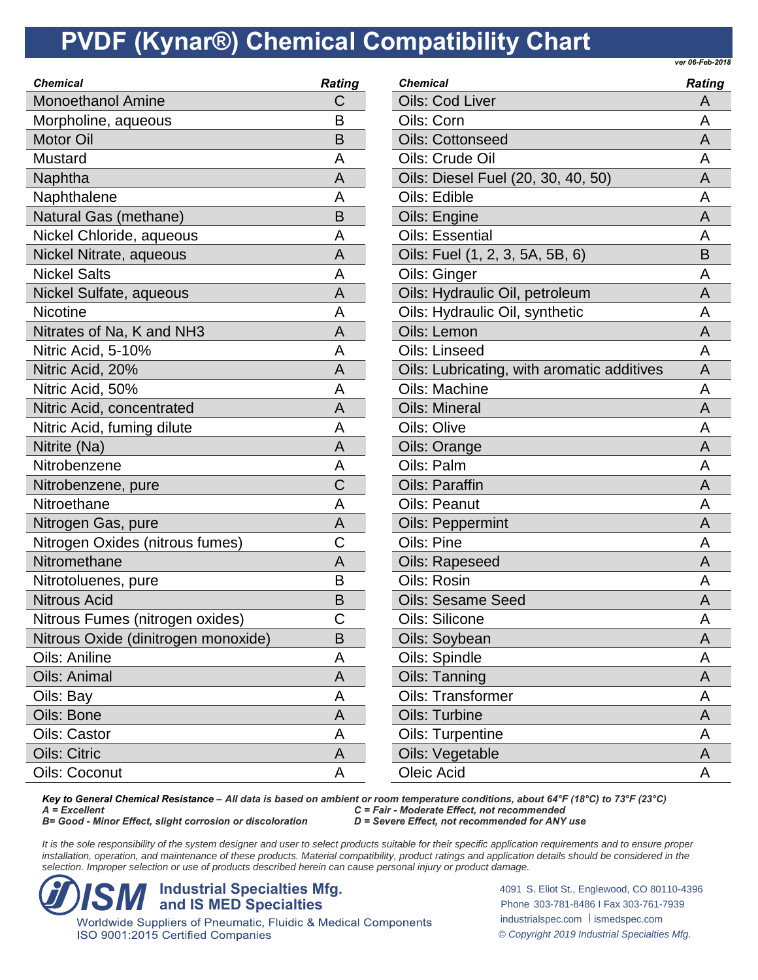*ver 06-Feb-2018*

| <b>Chemical</b>                     | <b>Rating</b> |
|-------------------------------------|---------------|
| <b>Monoethanol Amine</b>            | С             |
| Morpholine, aqueous                 | B             |
| <b>Motor Oil</b>                    | B             |
| Mustard                             | A             |
| Naphtha                             | A             |
| Naphthalene                         | A             |
| Natural Gas (methane)               | В             |
| Nickel Chloride, aqueous            | А             |
| Nickel Nitrate, aqueous             | A             |
| <b>Nickel Salts</b>                 | А             |
| Nickel Sulfate, aqueous             | A             |
| <b>Nicotine</b>                     | А             |
| Nitrates of Na, K and NH3           | Α             |
| Nitric Acid, 5-10%                  | А             |
| Nitric Acid, 20%                    | A             |
| Nitric Acid, 50%                    | A             |
| Nitric Acid, concentrated           | A             |
| Nitric Acid, fuming dilute          | A             |
| Nitrite (Na)                        | А             |
| Nitrobenzene                        | Α             |
| Nitrobenzene, pure                  | Ć             |
| Nitroethane                         | Α             |
| Nitrogen Gas, pure                  | Α             |
| Nitrogen Oxides (nitrous fumes)     | Ć             |
| Nitromethane                        | А             |
| Nitrotoluenes, pure                 | B             |
| <b>Nitrous Acid</b>                 | B             |
| Nitrous Fumes (nitrogen oxides)     | С             |
| Nitrous Oxide (dinitrogen monoxide) | B             |
| <b>Oils: Aniline</b>                | А             |
| Oils: Animal                        | Α             |
| Oils: Bay                           | Α             |
| Oils: Bone                          | Α             |
| Oils: Castor                        | А             |
| <b>Oils: Citric</b>                 | А             |
| Oils: Coconut                       | Α             |
|                                     |               |

| <b>Chemical</b>                            | <b>Rating</b> |
|--------------------------------------------|---------------|
| <b>Oils: Cod Liver</b>                     | Α             |
| Oils: Corn                                 | A             |
| <b>Oils: Cottonseed</b>                    | A             |
| Oils: Crude Oil                            | A             |
| Oils: Diesel Fuel (20, 30, 40, 50)         | A             |
| Oils: Edible                               | A             |
| Oils: Engine                               | А             |
| <b>Oils: Essential</b>                     | A             |
| Oils: Fuel (1, 2, 3, 5A, 5B, 6)            | B             |
| Oils: Ginger                               | Α             |
| Oils: Hydraulic Oil, petroleum             | A             |
| Oils: Hydraulic Oil, synthetic             | Α             |
| Oils: Lemon                                | A             |
| Oils: Linseed                              | Α             |
| Oils: Lubricating, with aromatic additives | A             |
| Oils: Machine                              | A             |
| <b>Oils: Mineral</b>                       | A             |
| Oils: Olive                                | A             |
| Oils: Orange                               | Α             |
| Oils: Palm                                 | A             |
| <b>Oils: Paraffin</b>                      | A             |
| Oils: Peanut                               | Α             |
| <b>Oils: Peppermint</b>                    | A             |
| Oils: Pine                                 | A             |
| <b>Oils: Rapeseed</b>                      | A             |
| Oils: Rosin                                | A             |
| <b>Oils: Sesame Seed</b>                   | A             |
| Oils: Silicone                             | А             |
| Oils: Soybean                              | A             |
| Oils: Spindle                              | А             |
| Oils: Tanning                              | Α             |
| Oils: Transformer                          | Α             |
| <b>Oils: Turbine</b>                       | Α             |
| Oils: Turpentine                           | Α             |
| Oils: Vegetable                            | A             |
| Oleic Acid                                 | Α             |

*Key to General Chemical Resistance – All data is based on ambient or room temperature conditions, about 64°F (18°C) to 73°F (23°C) A = Excellent C = Fair - Moderate Effect, not recommended B*= Good - *Minor Effect, slight corrosion or discoloration* 

It is the sole responsibility of the system designer and user to select products suitable for their specific application requirements and to ensure proper installation, operation, and maintenance of these products. Material compatibility, product ratings and application details should be considered in the *selection. Improper selection or use of products described herein can cause personal injury or product damage.*



ISO 9001:2015 Certified Companies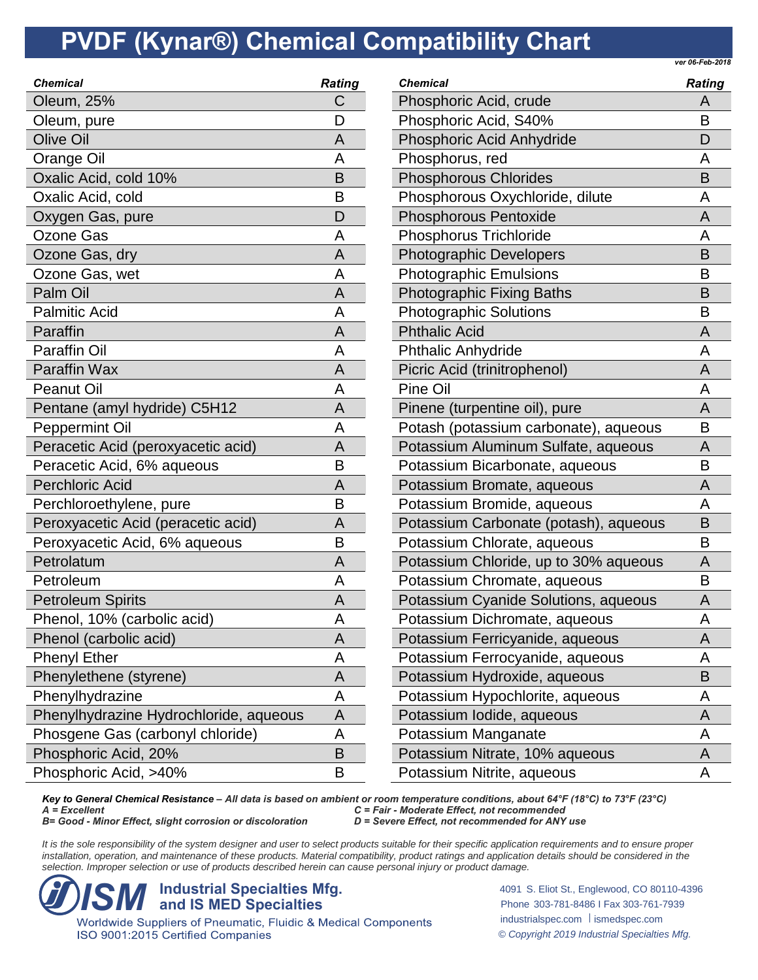*ver 06-Feb-2018*

| <b>Chemical</b>                        | <b>Rating</b> |
|----------------------------------------|---------------|
| Oleum, 25%                             | С             |
| Oleum, pure                            | D             |
| <b>Olive Oil</b>                       | A             |
| <b>Orange Oil</b>                      | A             |
| Oxalic Acid, cold 10%                  | B             |
| Oxalic Acid, cold                      | В             |
| Oxygen Gas, pure                       | D             |
| <b>Ozone Gas</b>                       | A             |
| Ozone Gas, dry                         | A             |
| Ozone Gas, wet                         | A             |
| Palm Oil                               | A             |
| <b>Palmitic Acid</b>                   | A             |
| Paraffin                               | Α             |
| <b>Paraffin Oil</b>                    | A             |
| <b>Paraffin Wax</b>                    | A             |
| <b>Peanut Oil</b>                      | Α             |
| Pentane (amyl hydride) C5H12           | A             |
| Peppermint Oil                         | A             |
| Peracetic Acid (peroxyacetic acid)     | Α             |
| Peracetic Acid, 6% aqueous             | B             |
| <b>Perchloric Acid</b>                 | Α             |
| Perchloroethylene, pure                | B             |
| Peroxyacetic Acid (peracetic acid)     | Α             |
| Peroxyacetic Acid, 6% aqueous          | В             |
| Petrolatum                             | A             |
| Petroleum                              | A             |
| <b>Petroleum Spirits</b>               | A             |
| Phenol, 10% (carbolic acid)            | А             |
| Phenol (carbolic acid)                 | Α             |
| <b>Phenyl Ether</b>                    | Α             |
| Phenylethene (styrene)                 | A             |
| Phenylhydrazine                        | Α             |
| Phenylhydrazine Hydrochloride, aqueous | A             |
| Phosgene Gas (carbonyl chloride)       | Α             |
| Phosphoric Acid, 20%                   | B             |
| Phosphoric Acid, >40%                  | B             |
|                                        |               |

| Chemical                              | <b>Rating</b> |
|---------------------------------------|---------------|
| Phosphoric Acid, crude                | Α             |
| Phosphoric Acid, S40%                 | B             |
| Phosphoric Acid Anhydride             | D             |
| Phosphorus, red                       | Α             |
| <b>Phosphorous Chlorides</b>          | B             |
| Phosphorous Oxychloride, dilute       | А             |
| <b>Phosphorous Pentoxide</b>          | Α             |
| <b>Phosphorus Trichloride</b>         | А             |
| <b>Photographic Developers</b>        | B             |
| <b>Photographic Emulsions</b>         | B             |
| <b>Photographic Fixing Baths</b>      | B             |
| <b>Photographic Solutions</b>         | B             |
| <b>Phthalic Acid</b>                  | Α             |
| <b>Phthalic Anhydride</b>             | А             |
| Picric Acid (trinitrophenol)          | А             |
| Pine Oil                              | А             |
| Pinene (turpentine oil), pure         | Α             |
| Potash (potassium carbonate), aqueous | B             |
| Potassium Aluminum Sulfate, aqueous   | А             |
| Potassium Bicarbonate, aqueous        | В             |
| Potassium Bromate, aqueous            | А             |
| Potassium Bromide, aqueous            | А             |
| Potassium Carbonate (potash), aqueous | B             |
| Potassium Chlorate, aqueous           | B             |
| Potassium Chloride, up to 30% aqueous | Α             |
| Potassium Chromate, aqueous           | В             |
| Potassium Cyanide Solutions, aqueous  | А             |
| Potassium Dichromate, aqueous         | А             |
| Potassium Ferricyanide, aqueous       | Α             |
| Potassium Ferrocyanide, aqueous       | А             |
| Potassium Hydroxide, aqueous          | Β             |
| Potassium Hypochlorite, aqueous       | Α             |
| Potassium Iodide, aqueous             | Α             |
| Potassium Manganate                   | Α             |
| Potassium Nitrate, 10% aqueous        | A             |
| Potassium Nitrite, aqueous            | Α             |

*Key to General Chemical Resistance – All data is based on ambient or room temperature conditions, about 64°F (18°C) to 73°F (23°C) A = Excellent C = Fair - Moderate Effect, not recommended B*= Good - *Minor Effect, slight corrosion or discoloration* 

It is the sole responsibility of the system designer and user to select products suitable for their specific application requirements and to ensure proper installation, operation, and maintenance of these products. Material compatibility, product ratings and application details should be considered in the *selection. Improper selection or use of products described herein can cause personal injury or product damage.*



ISO 9001:2015 Certified Companies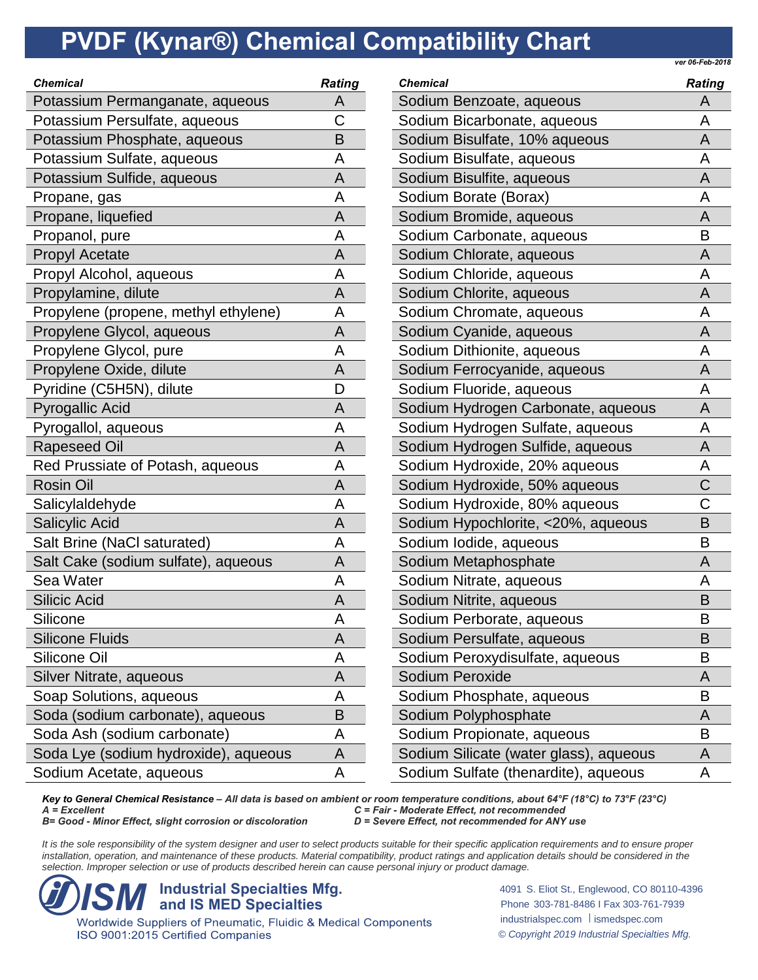*ver 06-Feb-2018*

| Potassium Permanganate, aqueous<br>Α<br>С<br>Potassium Persulfate, aqueous<br>Potassium Phosphate, aqueous<br>B<br>Potassium Sulfate, aqueous<br>A<br>Potassium Sulfide, aqueous<br>A<br>А<br>Propane, gas<br>Propane, liquefied<br>Α<br>Propanol, pure<br>Α<br><b>Propyl Acetate</b><br>Α<br>Propyl Alcohol, aqueous<br>A<br>Propylamine, dilute<br>Α<br>Propylene (propene, methyl ethylene)<br>A<br>Propylene Glycol, aqueous<br>Α<br>Propylene Glycol, pure<br>Α<br>Propylene Oxide, dilute<br>A<br>Pyridine (C5H5N), dilute<br>D<br><b>Pyrogallic Acid</b><br>A<br>Pyrogallol, aqueous<br>A<br><b>Rapeseed Oil</b><br>Α<br>Red Prussiate of Potash, aqueous<br>Α<br><b>Rosin Oil</b><br>А<br>Salicylaldehyde<br>A<br><b>Salicylic Acid</b><br>Α<br>Salt Brine (NaCl saturated)<br>A<br>Salt Cake (sodium sulfate), aqueous<br>A<br>Sea Water<br>Α<br><b>Silicic Acid</b><br>Α<br>Silicone<br>А<br><b>Silicone Fluids</b><br>Α<br>Silicone Oil<br>А<br>Silver Nitrate, aqueous<br>Α<br>Soap Solutions, aqueous<br>Α<br>Soda (sodium carbonate), aqueous<br>B<br>Soda Ash (sodium carbonate)<br>A<br>Soda Lye (sodium hydroxide), aqueous<br>Α<br>Sodium Acetate, aqueous<br>Α | Chemical | <b>Rating</b> |
|-----------------------------------------------------------------------------------------------------------------------------------------------------------------------------------------------------------------------------------------------------------------------------------------------------------------------------------------------------------------------------------------------------------------------------------------------------------------------------------------------------------------------------------------------------------------------------------------------------------------------------------------------------------------------------------------------------------------------------------------------------------------------------------------------------------------------------------------------------------------------------------------------------------------------------------------------------------------------------------------------------------------------------------------------------------------------------------------------------------------------------------------------------------------------------------|----------|---------------|
|                                                                                                                                                                                                                                                                                                                                                                                                                                                                                                                                                                                                                                                                                                                                                                                                                                                                                                                                                                                                                                                                                                                                                                                   |          |               |
|                                                                                                                                                                                                                                                                                                                                                                                                                                                                                                                                                                                                                                                                                                                                                                                                                                                                                                                                                                                                                                                                                                                                                                                   |          |               |
|                                                                                                                                                                                                                                                                                                                                                                                                                                                                                                                                                                                                                                                                                                                                                                                                                                                                                                                                                                                                                                                                                                                                                                                   |          |               |
|                                                                                                                                                                                                                                                                                                                                                                                                                                                                                                                                                                                                                                                                                                                                                                                                                                                                                                                                                                                                                                                                                                                                                                                   |          |               |
|                                                                                                                                                                                                                                                                                                                                                                                                                                                                                                                                                                                                                                                                                                                                                                                                                                                                                                                                                                                                                                                                                                                                                                                   |          |               |
|                                                                                                                                                                                                                                                                                                                                                                                                                                                                                                                                                                                                                                                                                                                                                                                                                                                                                                                                                                                                                                                                                                                                                                                   |          |               |
|                                                                                                                                                                                                                                                                                                                                                                                                                                                                                                                                                                                                                                                                                                                                                                                                                                                                                                                                                                                                                                                                                                                                                                                   |          |               |
|                                                                                                                                                                                                                                                                                                                                                                                                                                                                                                                                                                                                                                                                                                                                                                                                                                                                                                                                                                                                                                                                                                                                                                                   |          |               |
|                                                                                                                                                                                                                                                                                                                                                                                                                                                                                                                                                                                                                                                                                                                                                                                                                                                                                                                                                                                                                                                                                                                                                                                   |          |               |
|                                                                                                                                                                                                                                                                                                                                                                                                                                                                                                                                                                                                                                                                                                                                                                                                                                                                                                                                                                                                                                                                                                                                                                                   |          |               |
|                                                                                                                                                                                                                                                                                                                                                                                                                                                                                                                                                                                                                                                                                                                                                                                                                                                                                                                                                                                                                                                                                                                                                                                   |          |               |
|                                                                                                                                                                                                                                                                                                                                                                                                                                                                                                                                                                                                                                                                                                                                                                                                                                                                                                                                                                                                                                                                                                                                                                                   |          |               |
|                                                                                                                                                                                                                                                                                                                                                                                                                                                                                                                                                                                                                                                                                                                                                                                                                                                                                                                                                                                                                                                                                                                                                                                   |          |               |
|                                                                                                                                                                                                                                                                                                                                                                                                                                                                                                                                                                                                                                                                                                                                                                                                                                                                                                                                                                                                                                                                                                                                                                                   |          |               |
|                                                                                                                                                                                                                                                                                                                                                                                                                                                                                                                                                                                                                                                                                                                                                                                                                                                                                                                                                                                                                                                                                                                                                                                   |          |               |
|                                                                                                                                                                                                                                                                                                                                                                                                                                                                                                                                                                                                                                                                                                                                                                                                                                                                                                                                                                                                                                                                                                                                                                                   |          |               |
|                                                                                                                                                                                                                                                                                                                                                                                                                                                                                                                                                                                                                                                                                                                                                                                                                                                                                                                                                                                                                                                                                                                                                                                   |          |               |
|                                                                                                                                                                                                                                                                                                                                                                                                                                                                                                                                                                                                                                                                                                                                                                                                                                                                                                                                                                                                                                                                                                                                                                                   |          |               |
|                                                                                                                                                                                                                                                                                                                                                                                                                                                                                                                                                                                                                                                                                                                                                                                                                                                                                                                                                                                                                                                                                                                                                                                   |          |               |
|                                                                                                                                                                                                                                                                                                                                                                                                                                                                                                                                                                                                                                                                                                                                                                                                                                                                                                                                                                                                                                                                                                                                                                                   |          |               |
|                                                                                                                                                                                                                                                                                                                                                                                                                                                                                                                                                                                                                                                                                                                                                                                                                                                                                                                                                                                                                                                                                                                                                                                   |          |               |
|                                                                                                                                                                                                                                                                                                                                                                                                                                                                                                                                                                                                                                                                                                                                                                                                                                                                                                                                                                                                                                                                                                                                                                                   |          |               |
|                                                                                                                                                                                                                                                                                                                                                                                                                                                                                                                                                                                                                                                                                                                                                                                                                                                                                                                                                                                                                                                                                                                                                                                   |          |               |
|                                                                                                                                                                                                                                                                                                                                                                                                                                                                                                                                                                                                                                                                                                                                                                                                                                                                                                                                                                                                                                                                                                                                                                                   |          |               |
|                                                                                                                                                                                                                                                                                                                                                                                                                                                                                                                                                                                                                                                                                                                                                                                                                                                                                                                                                                                                                                                                                                                                                                                   |          |               |
|                                                                                                                                                                                                                                                                                                                                                                                                                                                                                                                                                                                                                                                                                                                                                                                                                                                                                                                                                                                                                                                                                                                                                                                   |          |               |
|                                                                                                                                                                                                                                                                                                                                                                                                                                                                                                                                                                                                                                                                                                                                                                                                                                                                                                                                                                                                                                                                                                                                                                                   |          |               |
|                                                                                                                                                                                                                                                                                                                                                                                                                                                                                                                                                                                                                                                                                                                                                                                                                                                                                                                                                                                                                                                                                                                                                                                   |          |               |
|                                                                                                                                                                                                                                                                                                                                                                                                                                                                                                                                                                                                                                                                                                                                                                                                                                                                                                                                                                                                                                                                                                                                                                                   |          |               |
|                                                                                                                                                                                                                                                                                                                                                                                                                                                                                                                                                                                                                                                                                                                                                                                                                                                                                                                                                                                                                                                                                                                                                                                   |          |               |
|                                                                                                                                                                                                                                                                                                                                                                                                                                                                                                                                                                                                                                                                                                                                                                                                                                                                                                                                                                                                                                                                                                                                                                                   |          |               |
|                                                                                                                                                                                                                                                                                                                                                                                                                                                                                                                                                                                                                                                                                                                                                                                                                                                                                                                                                                                                                                                                                                                                                                                   |          |               |
|                                                                                                                                                                                                                                                                                                                                                                                                                                                                                                                                                                                                                                                                                                                                                                                                                                                                                                                                                                                                                                                                                                                                                                                   |          |               |
|                                                                                                                                                                                                                                                                                                                                                                                                                                                                                                                                                                                                                                                                                                                                                                                                                                                                                                                                                                                                                                                                                                                                                                                   |          |               |
|                                                                                                                                                                                                                                                                                                                                                                                                                                                                                                                                                                                                                                                                                                                                                                                                                                                                                                                                                                                                                                                                                                                                                                                   |          |               |
|                                                                                                                                                                                                                                                                                                                                                                                                                                                                                                                                                                                                                                                                                                                                                                                                                                                                                                                                                                                                                                                                                                                                                                                   |          |               |

| <b>Chemical</b>                        | <b>Rating</b> |
|----------------------------------------|---------------|
| Sodium Benzoate, aqueous               | Α             |
| Sodium Bicarbonate, aqueous            | А             |
| Sodium Bisulfate, 10% aqueous          | А             |
| Sodium Bisulfate, aqueous              | А             |
| Sodium Bisulfite, aqueous              | Α             |
| Sodium Borate (Borax)                  | Α             |
| Sodium Bromide, aqueous                | A             |
| Sodium Carbonate, aqueous              | B             |
| Sodium Chlorate, aqueous               | A             |
| Sodium Chloride, aqueous               | А             |
| Sodium Chlorite, aqueous               | Α             |
| Sodium Chromate, aqueous               | А             |
| Sodium Cyanide, aqueous                | А             |
| Sodium Dithionite, aqueous             | А             |
| Sodium Ferrocyanide, aqueous           | Α             |
| Sodium Fluoride, aqueous               | Α             |
| Sodium Hydrogen Carbonate, aqueous     | Α             |
| Sodium Hydrogen Sulfate, aqueous       | А             |
| Sodium Hydrogen Sulfide, aqueous       | A             |
| Sodium Hydroxide, 20% aqueous          | А             |
| Sodium Hydroxide, 50% aqueous          | C             |
| Sodium Hydroxide, 80% aqueous          | Ć             |
| Sodium Hypochlorite, <20%, aqueous     | B             |
| Sodium Iodide, aqueous                 | Β             |
| Sodium Metaphosphate                   | А             |
| Sodium Nitrate, aqueous                | Α             |
| Sodium Nitrite, aqueous                | B             |
| Sodium Perborate, aqueous              | Β             |
| Sodium Persulfate, aqueous             | B             |
| Sodium Peroxydisulfate, aqueous        | Β             |
| Sodium Peroxide                        | A             |
| Sodium Phosphate, aqueous              | B             |
| Sodium Polyphosphate                   | А             |
| Sodium Propionate, aqueous             | Β             |
| Sodium Silicate (water glass), aqueous | A             |
| Sodium Sulfate (thenardite), aqueous   | Α             |

*Key to General Chemical Resistance – All data is based on ambient or room temperature conditions, about 64°F (18°C) to 73°F (23°C) A = Excellent C = Fair - Moderate Effect, not recommended B*= Good - *Minor Effect, slight corrosion or discoloration* 

It is the sole responsibility of the system designer and user to select products suitable for their specific application requirements and to ensure proper installation, operation, and maintenance of these products. Material compatibility, product ratings and application details should be considered in the *selection. Improper selection or use of products described herein can cause personal injury or product damage.*



ISO 9001:2015 Certified Companies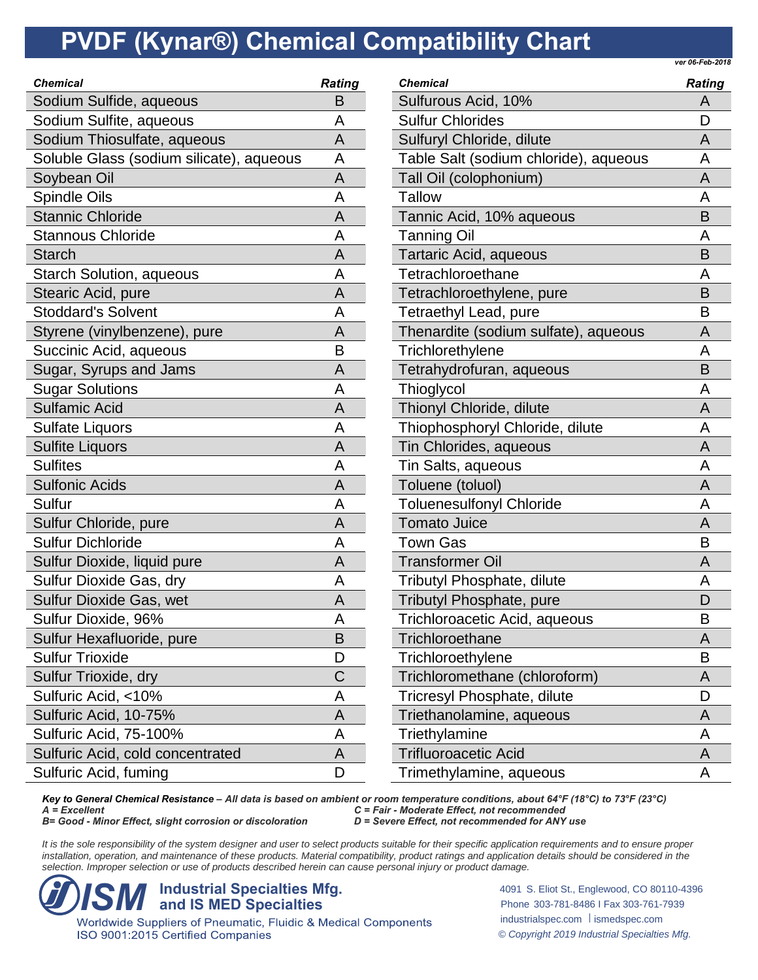*ver 06-Feb-2018*

| <b>Chemical</b>                          | <b>Rating</b> |
|------------------------------------------|---------------|
| Sodium Sulfide, aqueous                  | Β             |
| Sodium Sulfite, aqueous                  | A             |
| Sodium Thiosulfate, aqueous              | A             |
| Soluble Glass (sodium silicate), aqueous | Α             |
| Soybean Oil                              | A             |
| Spindle Oils                             | A             |
| <b>Stannic Chloride</b>                  | Α             |
| <b>Stannous Chloride</b>                 | A             |
| <b>Starch</b>                            | A             |
| <b>Starch Solution, aqueous</b>          | A             |
| Stearic Acid, pure                       | A             |
| <b>Stoddard's Solvent</b>                | A             |
| Styrene (vinylbenzene), pure             | A             |
| Succinic Acid, aqueous                   | B             |
| Sugar, Syrups and Jams                   | A             |
| <b>Sugar Solutions</b>                   | A             |
| <b>Sulfamic Acid</b>                     | Α             |
| <b>Sulfate Liquors</b>                   | A             |
| <b>Sulfite Liquors</b>                   | Α             |
| <b>Sulfites</b>                          | A             |
| <b>Sulfonic Acids</b>                    | A             |
| Sulfur                                   | A             |
| Sulfur Chloride, pure                    | A             |
| <b>Sulfur Dichloride</b>                 | A             |
| Sulfur Dioxide, liquid pure              | A             |
| Sulfur Dioxide Gas, dry                  | Α             |
| Sulfur Dioxide Gas, wet                  | A             |
| Sulfur Dioxide, 96%                      | Α             |
| Sulfur Hexafluoride, pure                | Β             |
| <b>Sulfur Trioxide</b>                   | D             |
| Sulfur Trioxide, dry                     | С             |
| Sulfuric Acid, <10%                      | Α             |
| Sulfuric Acid, 10-75%                    | Α             |
| Sulfuric Acid, 75-100%                   | Α             |
| Sulfuric Acid, cold concentrated         | Α             |
| Sulfuric Acid, fuming                    | D             |

| <b>Chemical</b>                       | <b>Rating</b> |
|---------------------------------------|---------------|
| Sulfurous Acid, 10%                   | Α             |
| <b>Sulfur Chlorides</b>               | D             |
| Sulfuryl Chloride, dilute             | Α             |
| Table Salt (sodium chloride), aqueous | Α             |
| Tall Oil (colophonium)                | A             |
| Tallow                                | Α             |
| Tannic Acid, 10% aqueous              | B             |
| <b>Tanning Oil</b>                    | Α             |
| Tartaric Acid, aqueous                | B             |
| Tetrachloroethane                     | A             |
| Tetrachloroethylene, pure             | B             |
| <b>Tetraethyl Lead, pure</b>          | B             |
| Thenardite (sodium sulfate), aqueous  | A             |
| Trichlorethylene                      | Α             |
| Tetrahydrofuran, aqueous              | B             |
| Thioglycol                            | A             |
| Thionyl Chloride, dilute              | A             |
| Thiophosphoryl Chloride, dilute       | Α             |
| Tin Chlorides, aqueous                | A             |
| Tin Salts, aqueous                    | А             |
| Toluene (toluol)                      | Α             |
| <b>Toluenesulfonyl Chloride</b>       | А             |
| <b>Tomato Juice</b>                   | A             |
| Town Gas                              | В             |
| <b>Transformer Oil</b>                | A             |
| Tributyl Phosphate, dilute            | Α             |
| <b>Tributyl Phosphate, pure</b>       | D             |
| Trichloroacetic Acid, aqueous         | В             |
| Trichloroethane                       | Α             |
| Trichloroethylene                     | B             |
| Trichloromethane (chloroform)         | A             |
| Tricresyl Phosphate, dilute           | D             |
| Triethanolamine, aqueous              | Α             |
| Triethylamine                         | Α             |
| Trifluoroacetic Acid                  | A             |
| Trimethylamine, aqueous               | A             |

*Key to General Chemical Resistance – All data is based on ambient or room temperature conditions, about 64°F (18°C) to 73°F (23°C) A = Excellent C = Fair - Moderate Effect, not recommended B* = Good - *Minor Effect, slight corrosion or discoloration* 

It is the sole responsibility of the system designer and user to select products suitable for their specific application requirements and to ensure proper installation, operation, and maintenance of these products. Material compatibility, product ratings and application details should be considered in the *selection. Improper selection or use of products described herein can cause personal injury or product damage.*



ISO 9001:2015 Certified Companies